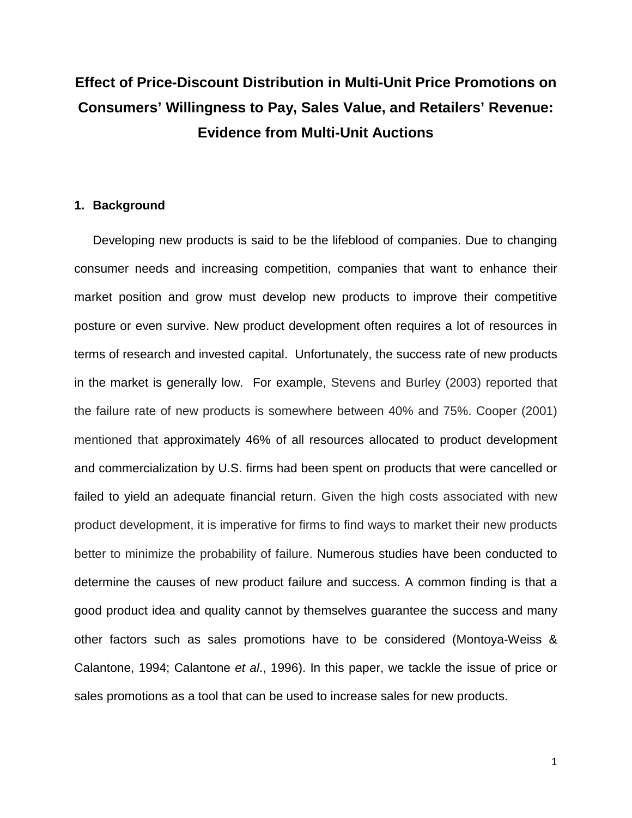# **Effect of Price-Discount Distribution in Multi-Unit Price Promotions on Consumers' Willingness to Pay, Sales Value, and Retailers' Revenue: Evidence from Multi-Unit Auctions**

# **1. Background**

Developing new products is said to be the lifeblood of companies. Due to changing consumer needs and increasing competition, companies that want to enhance their market position and grow must develop new products to improve their competitive posture or even survive. New product development often requires a lot of resources in terms of research and invested capital. Unfortunately, the success rate of new products in the market is generally low. For example, Stevens and Burley (2003) reported that the failure rate of new products is somewhere between 40% and 75%. Cooper (2001) mentioned that approximately 46% of all resources allocated to product development and commercialization by U.S. firms had been spent on products that were cancelled or failed to yield an adequate financial return. Given the high costs associated with new product development, it is imperative for firms to find ways to market their new products better to minimize the probability of failure. Numerous studies have been conducted to determine the causes of new product failure and success. A common finding is that a good product idea and quality cannot by themselves guarantee the success and many other factors such as sales promotions have to be considered (Montoya-Weiss & Calantone, 1994; Calantone *et al*., 1996). In this paper, we tackle the issue of price or sales promotions as a tool that can be used to increase sales for new products.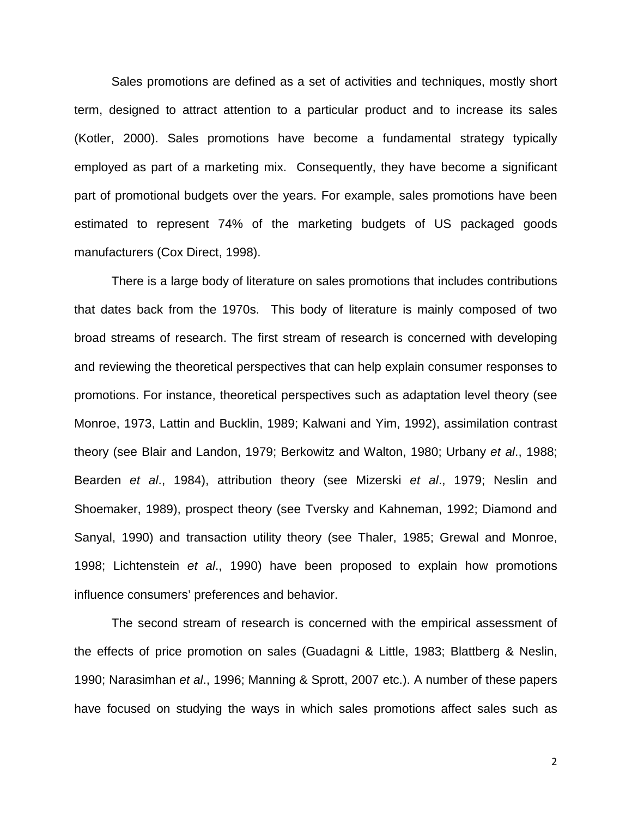Sales promotions are defined as a set of activities and techniques, mostly short term, designed to attract attention to a particular product and to increase its sales (Kotler, 2000). Sales promotions have become a fundamental strategy typically employed as part of a marketing mix. Consequently, they have become a significant part of promotional budgets over the years. For example, sales promotions have been estimated to represent 74% of the marketing budgets of US packaged goods manufacturers (Cox Direct, 1998).

There is a large body of literature on sales promotions that includes contributions that dates back from the 1970s. This body of literature is mainly composed of two broad streams of research. The first stream of research is concerned with developing and reviewing the theoretical perspectives that can help explain consumer responses to promotions. For instance, theoretical perspectives such as adaptation level theory (see Monroe, 1973, Lattin and Bucklin, 1989; Kalwani and Yim, 1992), assimilation contrast theory (see Blair and Landon, 1979; Berkowitz and Walton, 1980; Urbany *et al*., 1988; Bearden *et al*., 1984), attribution theory (see Mizerski *et al*., 1979; Neslin and Shoemaker, 1989), prospect theory (see Tversky and Kahneman, 1992; Diamond and Sanyal, 1990) and transaction utility theory (see Thaler, 1985; Grewal and Monroe, 1998; Lichtenstein *et al*., 1990) have been proposed to explain how promotions influence consumers' preferences and behavior.

The second stream of research is concerned with the empirical assessment of the effects of price promotion on sales (Guadagni & Little, 1983; Blattberg & Neslin, 1990; Narasimhan *et al*., 1996; Manning & Sprott, 2007 etc.). A number of these papers have focused on studying the ways in which sales promotions affect sales such as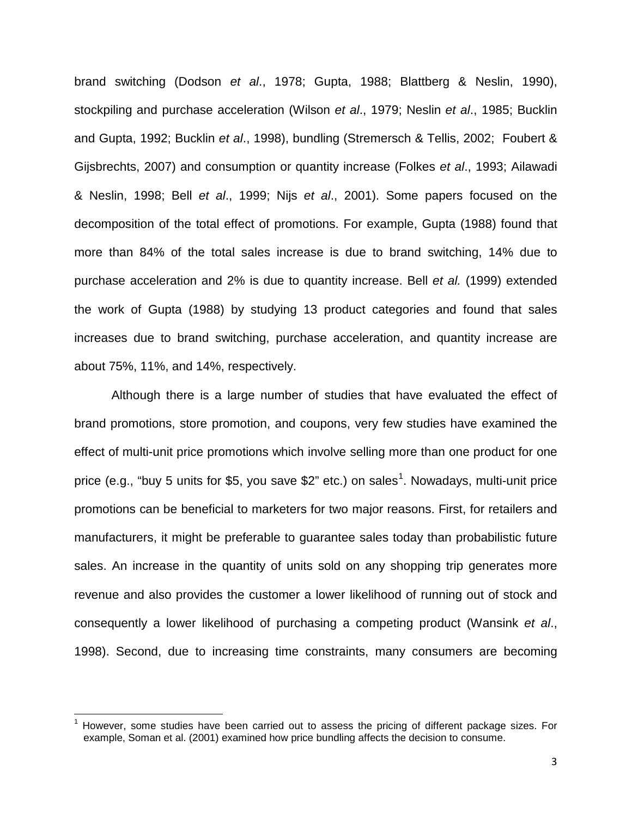brand switching (Dodson *et al*., 1978; Gupta, 1988; Blattberg & Neslin, 1990), stockpiling and purchase acceleration (Wilson *et al*., 1979; Neslin *et al*., 1985; Bucklin and Gupta, 1992; Bucklin *et al*., 1998), bundling (Stremersch & Tellis, 2002; Foubert & Gijsbrechts, 2007) and consumption or quantity increase (Folkes *et al*., 1993; Ailawadi & Neslin, 1998; Bell *et al*., 1999; Nijs *et al*., 2001). Some papers focused on the decomposition of the total effect of promotions. For example, Gupta (1988) found that more than 84% of the total sales increase is due to brand switching, 14% due to purchase acceleration and 2% is due to quantity increase. Bell *et al.* (1999) extended the work of Gupta (1988) by studying 13 product categories and found that sales increases due to brand switching, purchase acceleration, and quantity increase are about 75%, 11%, and 14%, respectively.

Although there is a large number of studies that have evaluated the effect of brand promotions, store promotion, and coupons, very few studies have examined the effect of multi-unit price promotions which involve selling more than one product for one price (e.g., "buy 5 units for \$5, you save \$2" etc.) on sales<sup>[1](#page-2-0)</sup>. Nowadays, multi-unit price promotions can be beneficial to marketers for two major reasons. First, for retailers and manufacturers, it might be preferable to guarantee sales today than probabilistic future sales. An increase in the quantity of units sold on any shopping trip generates more revenue and also provides the customer a lower likelihood of running out of stock and consequently a lower likelihood of purchasing a competing product (Wansink *et al*., 1998). Second, due to increasing time constraints, many consumers are becoming

l

<span id="page-2-0"></span> $1$  However, some studies have been carried out to assess the pricing of different package sizes. For example, Soman et al. (2001) examined how price bundling affects the decision to consume.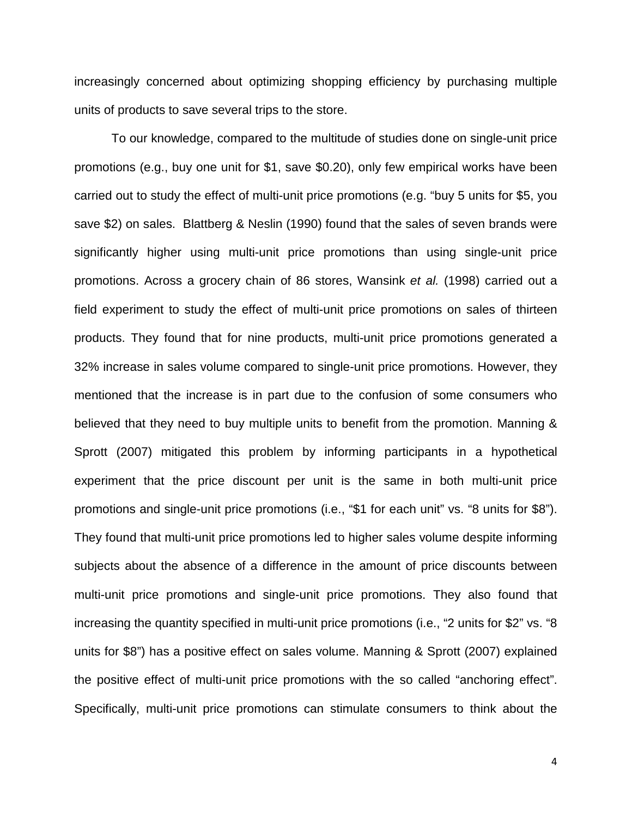increasingly concerned about optimizing shopping efficiency by purchasing multiple units of products to save several trips to the store.

To our knowledge, compared to the multitude of studies done on single-unit price promotions (e.g., buy one unit for \$1, save \$0.20), only few empirical works have been carried out to study the effect of multi-unit price promotions (e.g. "buy 5 units for \$5, you save \$2) on sales. Blattberg & Neslin (1990) found that the sales of seven brands were significantly higher using multi-unit price promotions than using single-unit price promotions. Across a grocery chain of 86 stores, Wansink *et al.* (1998) carried out a field experiment to study the effect of multi-unit price promotions on sales of thirteen products. They found that for nine products, multi-unit price promotions generated a 32% increase in sales volume compared to single-unit price promotions. However, they mentioned that the increase is in part due to the confusion of some consumers who believed that they need to buy multiple units to benefit from the promotion. Manning & Sprott (2007) mitigated this problem by informing participants in a hypothetical experiment that the price discount per unit is the same in both multi-unit price promotions and single-unit price promotions (i.e., "\$1 for each unit" vs. "8 units for \$8"). They found that multi-unit price promotions led to higher sales volume despite informing subjects about the absence of a difference in the amount of price discounts between multi-unit price promotions and single-unit price promotions. They also found that increasing the quantity specified in multi-unit price promotions (i.e., "2 units for \$2" vs. "8 units for \$8") has a positive effect on sales volume. Manning & Sprott (2007) explained the positive effect of multi-unit price promotions with the so called "anchoring effect". Specifically, multi-unit price promotions can stimulate consumers to think about the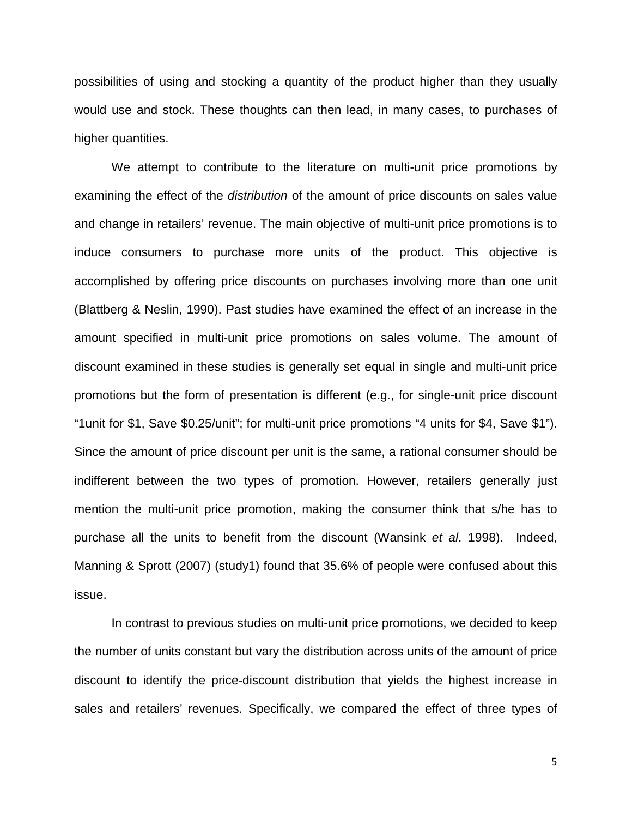possibilities of using and stocking a quantity of the product higher than they usually would use and stock. These thoughts can then lead, in many cases, to purchases of higher quantities.

We attempt to contribute to the literature on multi-unit price promotions by examining the effect of the *distribution* of the amount of price discounts on sales value and change in retailers' revenue. The main objective of multi-unit price promotions is to induce consumers to purchase more units of the product. This objective is accomplished by offering price discounts on purchases involving more than one unit (Blattberg & Neslin, 1990). Past studies have examined the effect of an increase in the amount specified in multi-unit price promotions on sales volume. The amount of discount examined in these studies is generally set equal in single and multi-unit price promotions but the form of presentation is different (e.g., for single-unit price discount "1unit for \$1, Save \$0.25/unit"; for multi-unit price promotions "4 units for \$4, Save \$1"). Since the amount of price discount per unit is the same, a rational consumer should be indifferent between the two types of promotion. However, retailers generally just mention the multi-unit price promotion, making the consumer think that s/he has to purchase all the units to benefit from the discount (Wansink *et al*. 1998). Indeed, Manning & Sprott (2007) (study1) found that 35.6% of people were confused about this issue.

In contrast to previous studies on multi-unit price promotions, we decided to keep the number of units constant but vary the distribution across units of the amount of price discount to identify the price-discount distribution that yields the highest increase in sales and retailers' revenues. Specifically, we compared the effect of three types of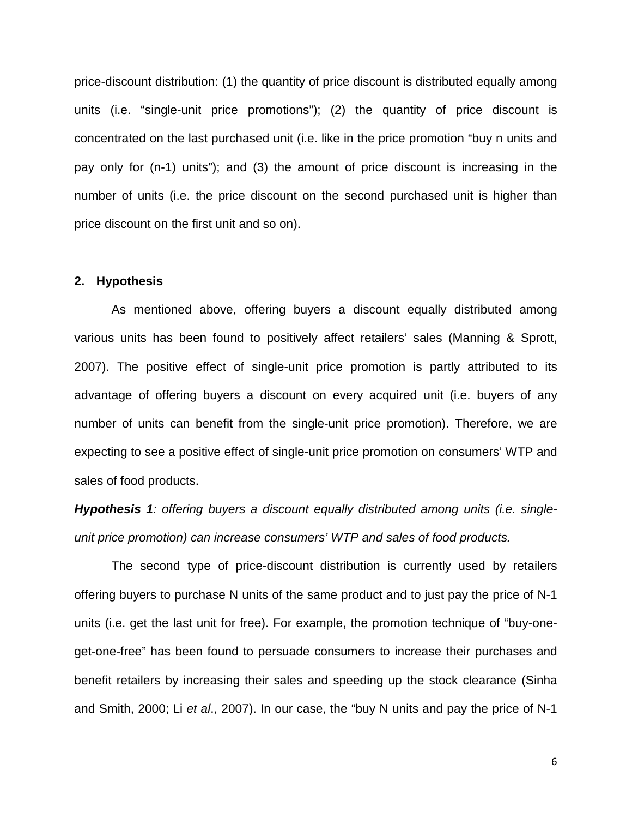price-discount distribution: (1) the quantity of price discount is distributed equally among units (i.e. "single-unit price promotions"); (2) the quantity of price discount is concentrated on the last purchased unit (i.e. like in the price promotion "buy n units and pay only for (n-1) units"); and (3) the amount of price discount is increasing in the number of units (i.e. the price discount on the second purchased unit is higher than price discount on the first unit and so on).

#### **2. Hypothesis**

As mentioned above, offering buyers a discount equally distributed among various units has been found to positively affect retailers' sales (Manning & Sprott, 2007). The positive effect of single-unit price promotion is partly attributed to its advantage of offering buyers a discount on every acquired unit (i.e. buyers of any number of units can benefit from the single-unit price promotion). Therefore, we are expecting to see a positive effect of single-unit price promotion on consumers' WTP and sales of food products.

*Hypothesis 1: offering buyers a discount equally distributed among units (i.e. singleunit price promotion) can increase consumers' WTP and sales of food products.*

The second type of price-discount distribution is currently used by retailers offering buyers to purchase N units of the same product and to just pay the price of N-1 units (i.e. get the last unit for free). For example, the promotion technique of "buy-oneget-one-free" has been found to persuade consumers to increase their purchases and benefit retailers by increasing their sales and speeding up the stock clearance (Sinha and Smith, 2000; Li *et al*., 2007). In our case, the "buy N units and pay the price of N-1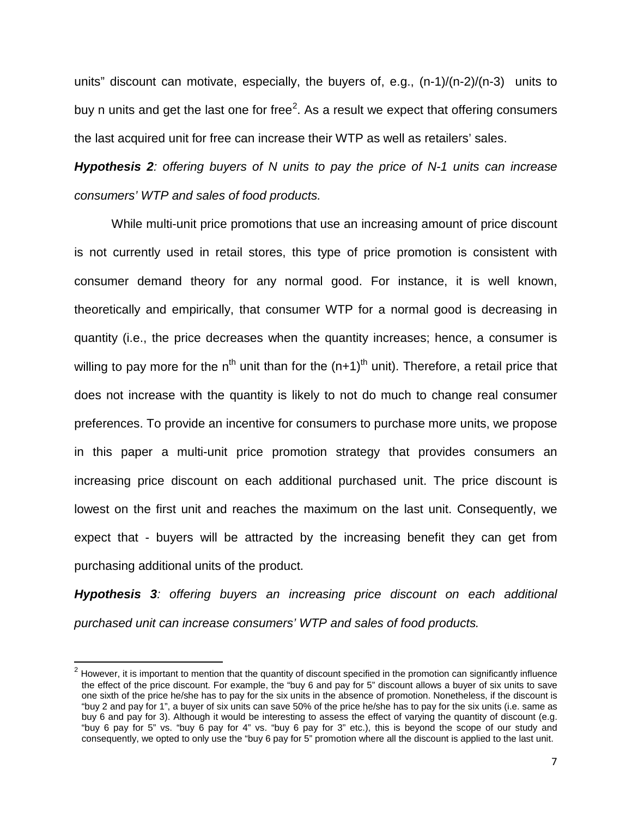units" discount can motivate, especially, the buyers of, e.g., (n-1)/(n-2)/(n-3) units to buy n units and get the last one for free<sup>[2](#page-6-0)</sup>. As a result we expect that offering consumers the last acquired unit for free can increase their WTP as well as retailers' sales.

*Hypothesis 2: offering buyers of N units to pay the price of N-1 units can increase consumers' WTP and sales of food products.*

While multi-unit price promotions that use an increasing amount of price discount is not currently used in retail stores, this type of price promotion is consistent with consumer demand theory for any normal good. For instance, it is well known, theoretically and empirically, that consumer WTP for a normal good is decreasing in quantity (i.e., the price decreases when the quantity increases; hence, a consumer is willing to pay more for the n<sup>th</sup> unit than for the  $(n+1)$ <sup>th</sup> unit). Therefore, a retail price that does not increase with the quantity is likely to not do much to change real consumer preferences. To provide an incentive for consumers to purchase more units, we propose in this paper a multi-unit price promotion strategy that provides consumers an increasing price discount on each additional purchased unit. The price discount is lowest on the first unit and reaches the maximum on the last unit. Consequently, we expect that - buyers will be attracted by the increasing benefit they can get from purchasing additional units of the product.

*Hypothesis 3: offering buyers an increasing price discount on each additional purchased unit can increase consumers' WTP and sales of food products.*

 $\overline{\phantom{a}}$ 

<span id="page-6-0"></span> $2$  However, it is important to mention that the quantity of discount specified in the promotion can significantly influence the effect of the price discount. For example, the "buy 6 and pay for 5" discount allows a buyer of six units to save one sixth of the price he/she has to pay for the six units in the absence of promotion. Nonetheless, if the discount is "buy 2 and pay for 1", a buyer of six units can save 50% of the price he/she has to pay for the six units (i.e. same as buy 6 and pay for 3). Although it would be interesting to assess the effect of varying the quantity of discount (e.g. "buy 6 pay for 5" vs. "buy 6 pay for 4" vs. "buy 6 pay for 3" etc.), this is beyond the scope of our study and consequently, we opted to only use the "buy 6 pay for 5" promotion where all the discount is applied to the last unit.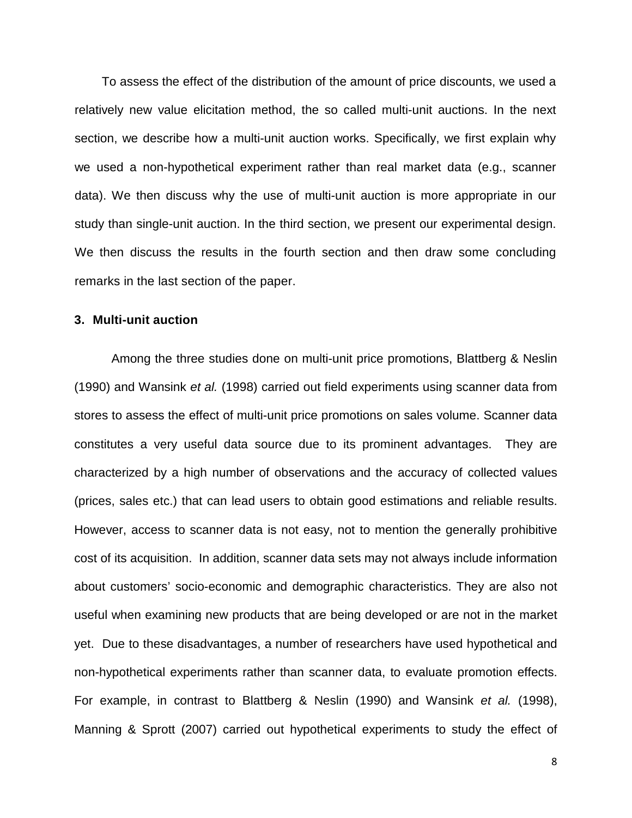To assess the effect of the distribution of the amount of price discounts, we used a relatively new value elicitation method, the so called multi-unit auctions. In the next section, we describe how a multi-unit auction works. Specifically, we first explain why we used a non-hypothetical experiment rather than real market data (e.g., scanner data). We then discuss why the use of multi-unit auction is more appropriate in our study than single-unit auction. In the third section, we present our experimental design. We then discuss the results in the fourth section and then draw some concluding remarks in the last section of the paper.

## **3. Multi-unit auction**

Among the three studies done on multi-unit price promotions, Blattberg & Neslin (1990) and Wansink *et al.* (1998) carried out field experiments using scanner data from stores to assess the effect of multi-unit price promotions on sales volume. Scanner data constitutes a very useful data source due to its prominent advantages. They are characterized by a high number of observations and the accuracy of collected values (prices, sales etc.) that can lead users to obtain good estimations and reliable results. However, access to scanner data is not easy, not to mention the generally prohibitive cost of its acquisition. In addition, scanner data sets may not always include information about customers' socio-economic and demographic characteristics. They are also not useful when examining new products that are being developed or are not in the market yet. Due to these disadvantages, a number of researchers have used hypothetical and non-hypothetical experiments rather than scanner data, to evaluate promotion effects. For example, in contrast to Blattberg & Neslin (1990) and Wansink *et al.* (1998), Manning & Sprott (2007) carried out hypothetical experiments to study the effect of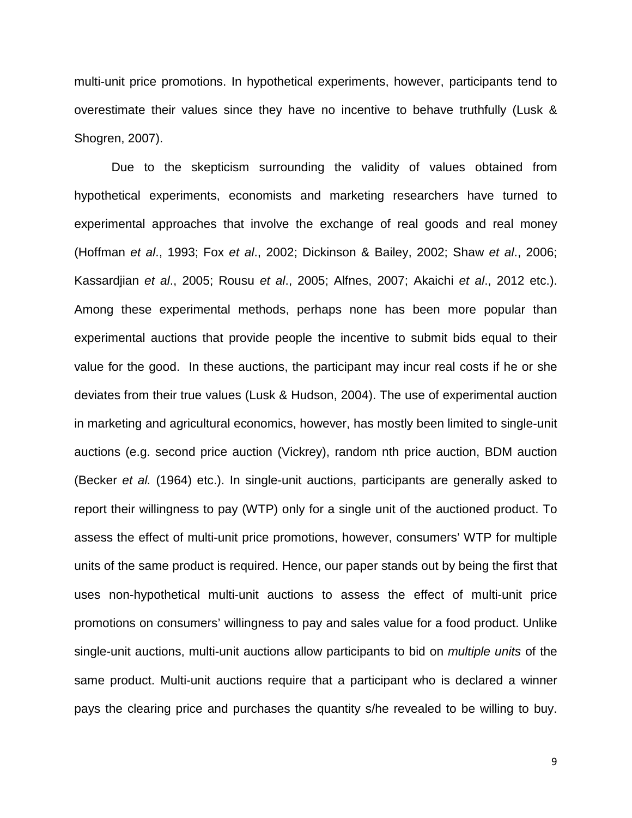multi-unit price promotions. In hypothetical experiments, however, participants tend to overestimate their values since they have no incentive to behave truthfully (Lusk & Shogren, 2007).

Due to the skepticism surrounding the validity of values obtained from hypothetical experiments, economists and marketing researchers have turned to experimental approaches that involve the exchange of real goods and real money (Hoffman *et al*., 1993; Fox *et al*., 2002; Dickinson & Bailey, 2002; Shaw *et al*., 2006; Kassardjian *et al*., 2005; Rousu *et al*., 2005; Alfnes, 2007; Akaichi *et al*., 2012 etc.). Among these experimental methods, perhaps none has been more popular than experimental auctions that provide people the incentive to submit bids equal to their value for the good. In these auctions, the participant may incur real costs if he or she deviates from their true values (Lusk & Hudson, 2004). The use of experimental auction in marketing and agricultural economics, however, has mostly been limited to single-unit auctions (e.g. second price auction (Vickrey), random nth price auction, BDM auction (Becker *et al.* (1964) etc.). In single-unit auctions, participants are generally asked to report their willingness to pay (WTP) only for a single unit of the auctioned product. To assess the effect of multi-unit price promotions, however, consumers' WTP for multiple units of the same product is required. Hence, our paper stands out by being the first that uses non-hypothetical multi-unit auctions to assess the effect of multi-unit price promotions on consumers' willingness to pay and sales value for a food product. Unlike single-unit auctions, multi-unit auctions allow participants to bid on *multiple units* of the same product. Multi-unit auctions require that a participant who is declared a winner pays the clearing price and purchases the quantity s/he revealed to be willing to buy.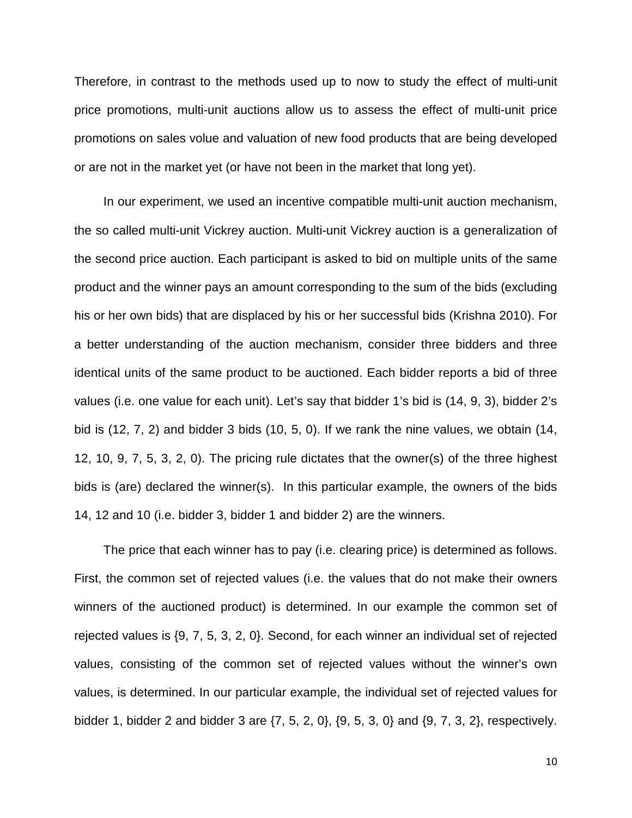Therefore, in contrast to the methods used up to now to study the effect of multi-unit price promotions, multi-unit auctions allow us to assess the effect of multi-unit price promotions on sales volue and valuation of new food products that are being developed or are not in the market yet (or have not been in the market that long yet).

In our experiment, we used an incentive compatible multi-unit auction mechanism, the so called multi-unit Vickrey auction. Multi-unit Vickrey auction is a generalization of the second price auction. Each participant is asked to bid on multiple units of the same product and the winner pays an amount corresponding to the sum of the bids (excluding his or her own bids) that are displaced by his or her successful bids (Krishna 2010). For a better understanding of the auction mechanism, consider three bidders and three identical units of the same product to be auctioned. Each bidder reports a bid of three values (i.e. one value for each unit). Let's say that bidder 1's bid is (14, 9, 3), bidder 2's bid is (12, 7, 2) and bidder 3 bids (10, 5, 0). If we rank the nine values, we obtain (14, 12, 10, 9, 7, 5, 3, 2, 0). The pricing rule dictates that the owner(s) of the three highest bids is (are) declared the winner(s). In this particular example, the owners of the bids 14, 12 and 10 (i.e. bidder 3, bidder 1 and bidder 2) are the winners.

The price that each winner has to pay (i.e. clearing price) is determined as follows. First, the common set of rejected values (i.e. the values that do not make their owners winners of the auctioned product) is determined. In our example the common set of rejected values is {9, 7, 5, 3, 2, 0}. Second, for each winner an individual set of rejected values, consisting of the common set of rejected values without the winner's own values, is determined. In our particular example, the individual set of rejected values for bidder 1, bidder 2 and bidder 3 are {7, 5, 2, 0}, {9, 5, 3, 0} and {9, 7, 3, 2}, respectively.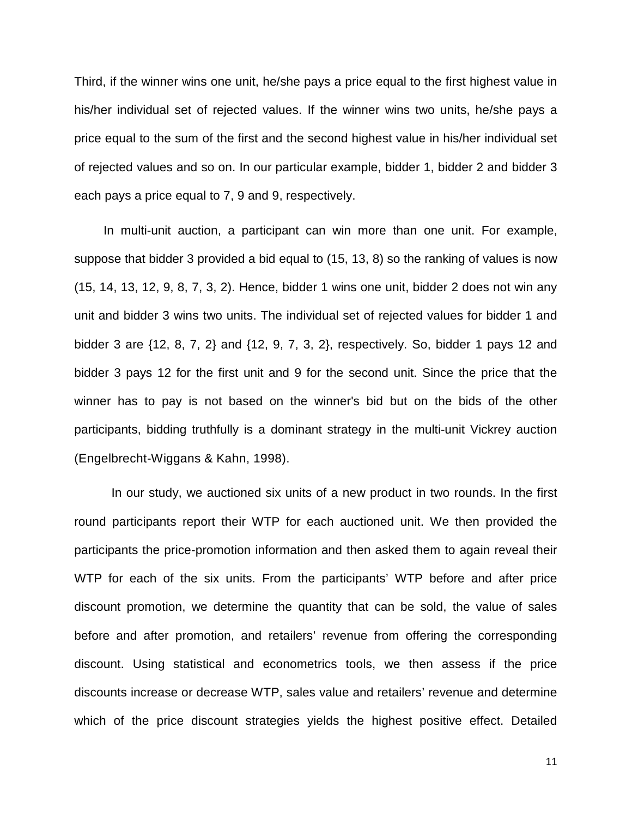Third, if the winner wins one unit, he/she pays a price equal to the first highest value in his/her individual set of rejected values. If the winner wins two units, he/she pays a price equal to the sum of the first and the second highest value in his/her individual set of rejected values and so on. In our particular example, bidder 1, bidder 2 and bidder 3 each pays a price equal to 7, 9 and 9, respectively.

In multi-unit auction, a participant can win more than one unit. For example, suppose that bidder 3 provided a bid equal to (15, 13, 8) so the ranking of values is now (15, 14, 13, 12, 9, 8, 7, 3, 2). Hence, bidder 1 wins one unit, bidder 2 does not win any unit and bidder 3 wins two units. The individual set of rejected values for bidder 1 and bidder 3 are {12, 8, 7, 2} and {12, 9, 7, 3, 2}, respectively. So, bidder 1 pays 12 and bidder 3 pays 12 for the first unit and 9 for the second unit. Since the price that the winner has to pay is not based on the winner's bid but on the bids of the other participants, bidding truthfully is a dominant strategy in the multi-unit Vickrey auction (Engelbrecht-Wiggans & Kahn, 1998).

In our study, we auctioned six units of a new product in two rounds. In the first round participants report their WTP for each auctioned unit. We then provided the participants the price-promotion information and then asked them to again reveal their WTP for each of the six units. From the participants' WTP before and after price discount promotion, we determine the quantity that can be sold, the value of sales before and after promotion, and retailers' revenue from offering the corresponding discount. Using statistical and econometrics tools, we then assess if the price discounts increase or decrease WTP, sales value and retailers' revenue and determine which of the price discount strategies yields the highest positive effect. Detailed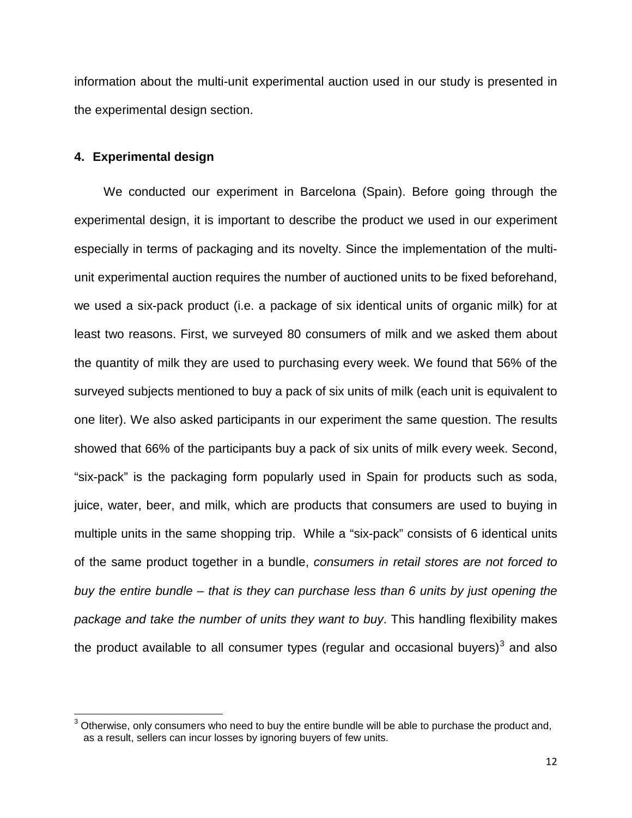information about the multi-unit experimental auction used in our study is presented in the experimental design section.

## **4. Experimental design**

l

We conducted our experiment in Barcelona (Spain). Before going through the experimental design, it is important to describe the product we used in our experiment especially in terms of packaging and its novelty. Since the implementation of the multiunit experimental auction requires the number of auctioned units to be fixed beforehand, we used a six-pack product (i.e. a package of six identical units of organic milk) for at least two reasons. First, we surveyed 80 consumers of milk and we asked them about the quantity of milk they are used to purchasing every week. We found that 56% of the surveyed subjects mentioned to buy a pack of six units of milk (each unit is equivalent to one liter). We also asked participants in our experiment the same question. The results showed that 66% of the participants buy a pack of six units of milk every week. Second, "six-pack" is the packaging form popularly used in Spain for products such as soda, juice, water, beer, and milk, which are products that consumers are used to buying in multiple units in the same shopping trip. While a "six-pack" consists of 6 identical units of the same product together in a bundle, *consumers in retail stores are not forced to buy the entire bundle – that is they can purchase less than 6 units by just opening the package and take the number of units they want to buy*. This handling flexibility makes the product available to all consumer types (regular and occasional buyers) $3$  and also

<span id="page-11-0"></span> $3$  Otherwise, only consumers who need to buy the entire bundle will be able to purchase the product and, as a result, sellers can incur losses by ignoring buyers of few units.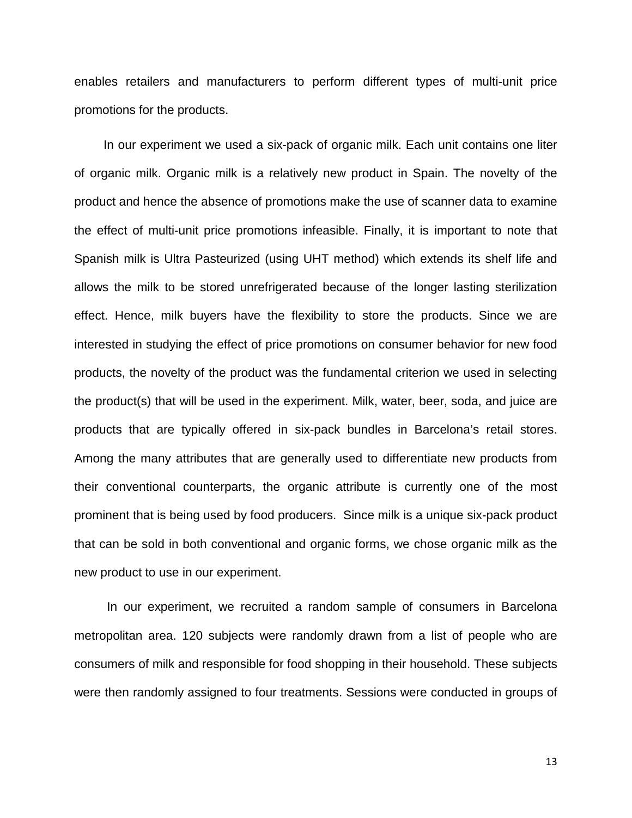enables retailers and manufacturers to perform different types of multi-unit price promotions for the products.

In our experiment we used a six-pack of organic milk. Each unit contains one liter of organic milk. Organic milk is a relatively new product in Spain. The novelty of the product and hence the absence of promotions make the use of scanner data to examine the effect of multi-unit price promotions infeasible. Finally, it is important to note that Spanish milk is Ultra Pasteurized (using UHT method) which extends its shelf life and allows the milk to be stored unrefrigerated because of the longer lasting sterilization effect. Hence, milk buyers have the flexibility to store the products. Since we are interested in studying the effect of price promotions on consumer behavior for new food products, the novelty of the product was the fundamental criterion we used in selecting the product(s) that will be used in the experiment. Milk, water, beer, soda, and juice are products that are typically offered in six-pack bundles in Barcelona's retail stores. Among the many attributes that are generally used to differentiate new products from their conventional counterparts, the organic attribute is currently one of the most prominent that is being used by food producers. Since milk is a unique six-pack product that can be sold in both conventional and organic forms, we chose organic milk as the new product to use in our experiment.

In our experiment, we recruited a random sample of consumers in Barcelona metropolitan area. 120 subjects were randomly drawn from a list of people who are consumers of milk and responsible for food shopping in their household. These subjects were then randomly assigned to four treatments. Sessions were conducted in groups of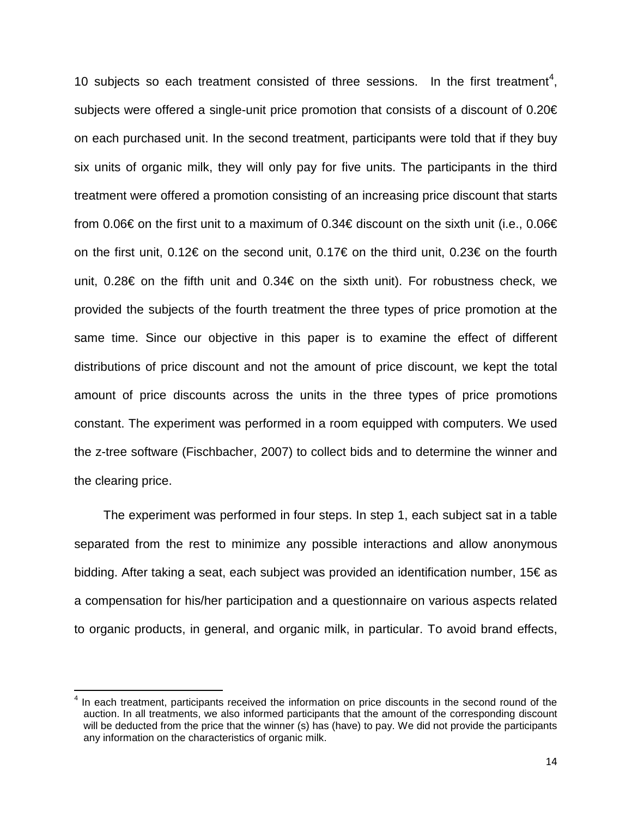10 subjects so each treatment consisted of three sessions. In the first treatment<sup>[4](#page-13-0)</sup>, subjects were offered a single-unit price promotion that consists of a discount of 0.20€ on each purchased unit. In the second treatment, participants were told that if they buy six units of organic milk, they will only pay for five units. The participants in the third treatment were offered a promotion consisting of an increasing price discount that starts from 0.06€ on the first unit to a maximum of 0.34€ discount on the sixth unit (i.e., 0.06€ on the first unit, 0.12€ on the second unit, 0.17€ on the third unit, 0.23€ on the fourth unit, 0.28€ on the fifth unit and 0.34€ on the sixth unit). For robustness check, we provided the subjects of the fourth treatment the three types of price promotion at the same time. Since our objective in this paper is to examine the effect of different distributions of price discount and not the amount of price discount, we kept the total amount of price discounts across the units in the three types of price promotions constant. The experiment was performed in a room equipped with computers. We used the z-tree software (Fischbacher, 2007) to collect bids and to determine the winner and the clearing price.

The experiment was performed in four steps. In step 1, each subject sat in a table separated from the rest to minimize any possible interactions and allow anonymous bidding. After taking a seat, each subject was provided an identification number, 15€ as a compensation for his/her participation and a questionnaire on various aspects related to organic products, in general, and organic milk, in particular. To avoid brand effects,

l

<span id="page-13-0"></span> $<sup>4</sup>$  In each treatment, participants received the information on price discounts in the second round of the</sup> auction. In all treatments, we also informed participants that the amount of the corresponding discount will be deducted from the price that the winner (s) has (have) to pay. We did not provide the participants any information on the characteristics of organic milk.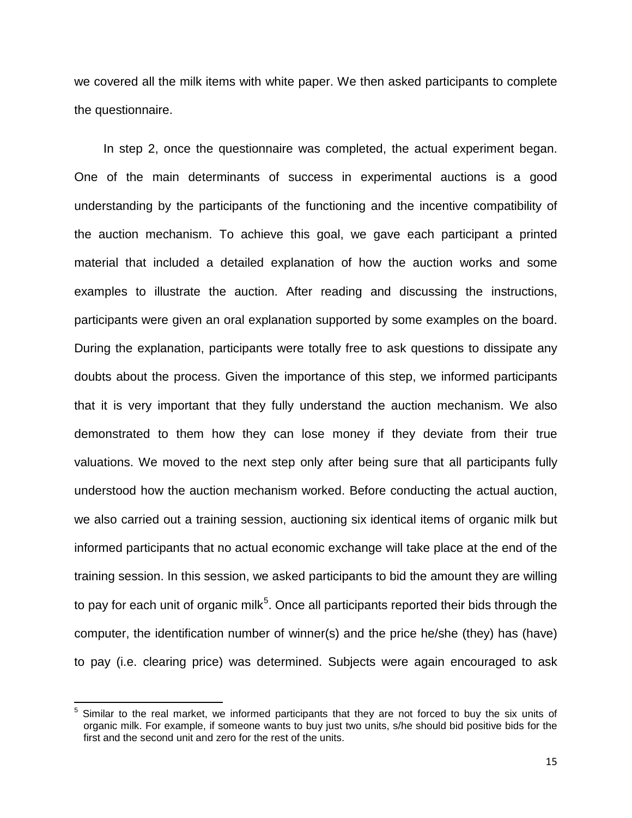we covered all the milk items with white paper. We then asked participants to complete the questionnaire.

In step 2, once the questionnaire was completed, the actual experiment began. One of the main determinants of success in experimental auctions is a good understanding by the participants of the functioning and the incentive compatibility of the auction mechanism. To achieve this goal, we gave each participant a printed material that included a detailed explanation of how the auction works and some examples to illustrate the auction. After reading and discussing the instructions, participants were given an oral explanation supported by some examples on the board. During the explanation, participants were totally free to ask questions to dissipate any doubts about the process. Given the importance of this step, we informed participants that it is very important that they fully understand the auction mechanism. We also demonstrated to them how they can lose money if they deviate from their true valuations. We moved to the next step only after being sure that all participants fully understood how the auction mechanism worked. Before conducting the actual auction, we also carried out a training session, auctioning six identical items of organic milk but informed participants that no actual economic exchange will take place at the end of the training session. In this session, we asked participants to bid the amount they are willing to pay for each unit of organic milk<sup>[5](#page-14-0)</sup>. Once all participants reported their bids through the computer, the identification number of winner(s) and the price he/she (they) has (have) to pay (i.e. clearing price) was determined. Subjects were again encouraged to ask

 $\overline{\phantom{a}}$ 

<span id="page-14-0"></span> $<sup>5</sup>$  Similar to the real market, we informed participants that they are not forced to buy the six units of</sup> organic milk. For example, if someone wants to buy just two units, s/he should bid positive bids for the first and the second unit and zero for the rest of the units.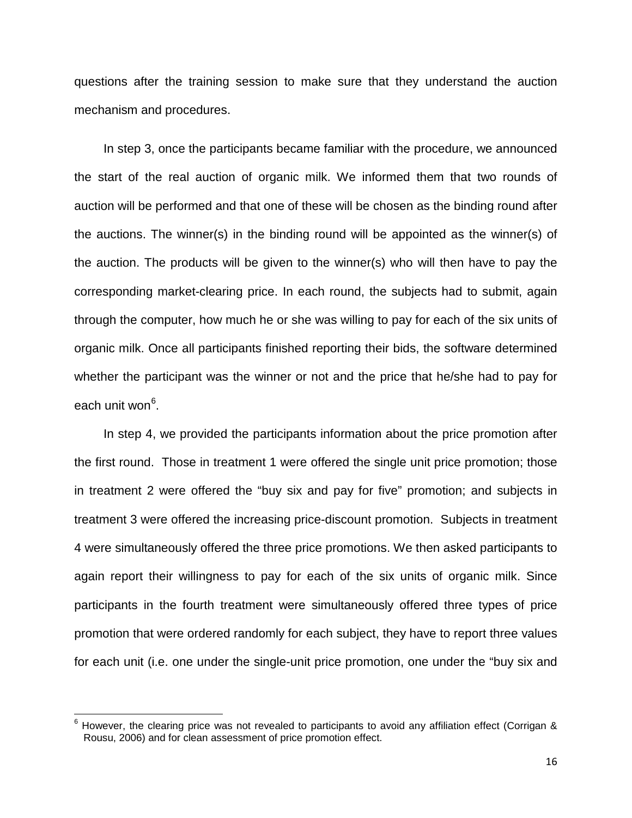questions after the training session to make sure that they understand the auction mechanism and procedures.

In step 3, once the participants became familiar with the procedure, we announced the start of the real auction of organic milk. We informed them that two rounds of auction will be performed and that one of these will be chosen as the binding round after the auctions. The winner(s) in the binding round will be appointed as the winner(s) of the auction. The products will be given to the winner(s) who will then have to pay the corresponding market-clearing price. In each round, the subjects had to submit, again through the computer, how much he or she was willing to pay for each of the six units of organic milk. Once all participants finished reporting their bids, the software determined whether the participant was the winner or not and the price that he/she had to pay for each unit won<sup>[6](#page-15-0)</sup>.

In step 4, we provided the participants information about the price promotion after the first round. Those in treatment 1 were offered the single unit price promotion; those in treatment 2 were offered the "buy six and pay for five" promotion; and subjects in treatment 3 were offered the increasing price-discount promotion. Subjects in treatment 4 were simultaneously offered the three price promotions. We then asked participants to again report their willingness to pay for each of the six units of organic milk. Since participants in the fourth treatment were simultaneously offered three types of price promotion that were ordered randomly for each subject, they have to report three values for each unit (i.e. one under the single-unit price promotion, one under the "buy six and

l

<span id="page-15-0"></span> $^6$  However, the clearing price was not revealed to participants to avoid any affiliation effect (Corrigan & Rousu, 2006) and for clean assessment of price promotion effect.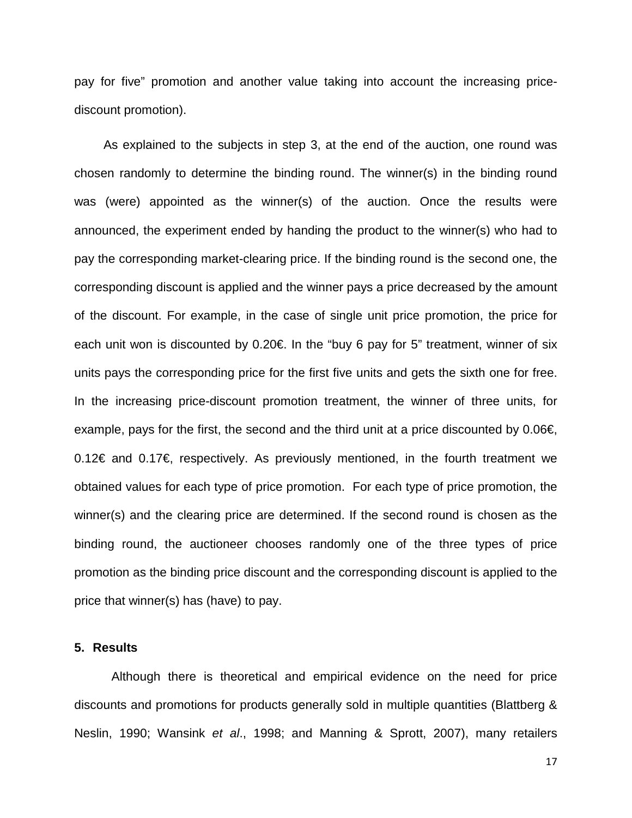pay for five" promotion and another value taking into account the increasing pricediscount promotion).

As explained to the subjects in step 3, at the end of the auction, one round was chosen randomly to determine the binding round. The winner(s) in the binding round was (were) appointed as the winner(s) of the auction. Once the results were announced, the experiment ended by handing the product to the winner(s) who had to pay the corresponding market-clearing price. If the binding round is the second one, the corresponding discount is applied and the winner pays a price decreased by the amount of the discount. For example, in the case of single unit price promotion, the price for each unit won is discounted by 0.20€. In the "buy 6 pay for 5" treatment, winner of six units pays the corresponding price for the first five units and gets the sixth one for free. In the increasing price-discount promotion treatment, the winner of three units, for example, pays for the first, the second and the third unit at a price discounted by 0.06€, 0.12€ and 0.17€, respectively. As previously mentioned, in the fourth treatment we obtained values for each type of price promotion. For each type of price promotion, the winner(s) and the clearing price are determined. If the second round is chosen as the binding round, the auctioneer chooses randomly one of the three types of price promotion as the binding price discount and the corresponding discount is applied to the price that winner(s) has (have) to pay.

## **5. Results**

Although there is theoretical and empirical evidence on the need for price discounts and promotions for products generally sold in multiple quantities (Blattberg & Neslin, 1990; Wansink *et al*., 1998; and Manning & Sprott, 2007), many retailers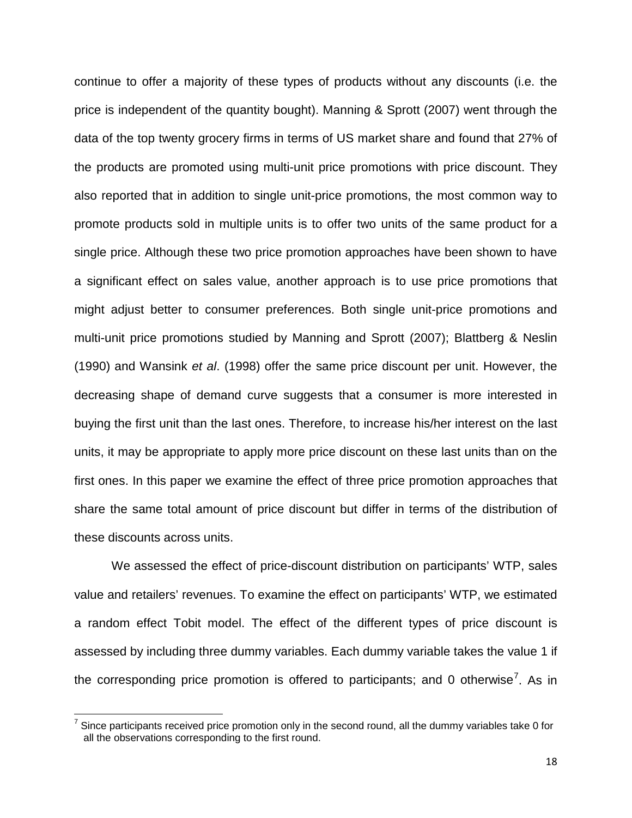continue to offer a majority of these types of products without any discounts (i.e. the price is independent of the quantity bought). Manning & Sprott (2007) went through the data of the top twenty grocery firms in terms of US market share and found that 27% of the products are promoted using multi-unit price promotions with price discount. They also reported that in addition to single unit-price promotions, the most common way to promote products sold in multiple units is to offer two units of the same product for a single price. Although these two price promotion approaches have been shown to have a significant effect on sales value, another approach is to use price promotions that might adjust better to consumer preferences. Both single unit-price promotions and multi-unit price promotions studied by Manning and Sprott (2007); Blattberg & Neslin (1990) and Wansink *et al*. (1998) offer the same price discount per unit. However, the decreasing shape of demand curve suggests that a consumer is more interested in buying the first unit than the last ones. Therefore, to increase his/her interest on the last units, it may be appropriate to apply more price discount on these last units than on the first ones. In this paper we examine the effect of three price promotion approaches that share the same total amount of price discount but differ in terms of the distribution of these discounts across units.

We assessed the effect of price-discount distribution on participants' WTP, sales value and retailers' revenues. To examine the effect on participants' WTP, we estimated a random effect Tobit model. The effect of the different types of price discount is assessed by including three dummy variables. Each dummy variable takes the value 1 if the corresponding price promotion is offered to participants; and 0 otherwise<sup>[7](#page-17-0)</sup>. As in

l

<span id="page-17-0"></span> $^7$  Since participants received price promotion only in the second round, all the dummy variables take 0 for all the observations corresponding to the first round.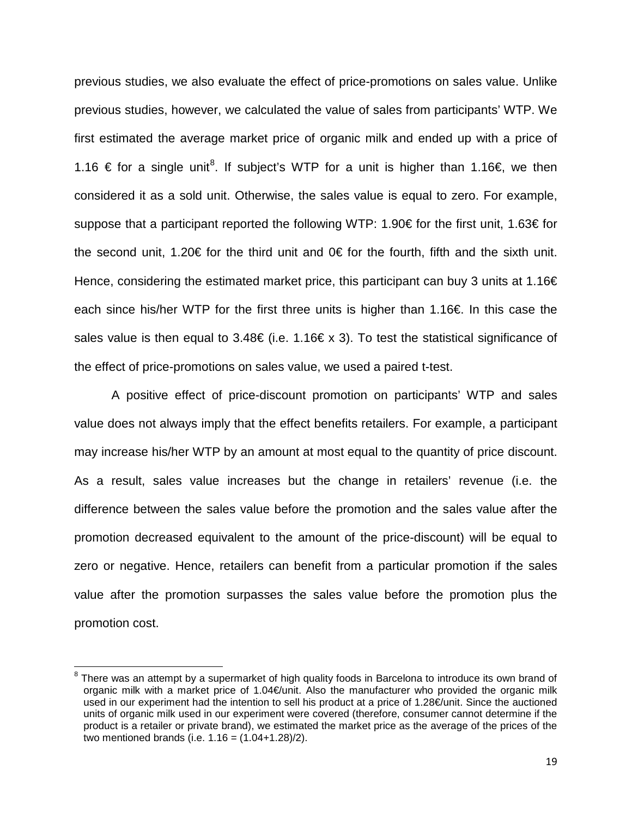previous studies, we also evaluate the effect of price-promotions on sales value. Unlike previous studies, however, we calculated the value of sales from participants' WTP. We first estimated the average market price of organic milk and ended up with a price of 1.16 € for a single unit<sup>[8](#page-18-0)</sup>. If subject's WTP for a unit is higher than 1.16€, we then considered it as a sold unit. Otherwise, the sales value is equal to zero. For example, suppose that a participant reported the following WTP: 1.90€ for the first unit, 1.63€ for the second unit, 1.20€ for the third unit and 0€ for the fourth, fifth and the sixth unit. Hence, considering the estimated market price, this participant can buy 3 units at 1.16 $\epsilon$ each since his/her WTP for the first three units is higher than 1.16€. In this case the sales value is then equal to 3.48€ (i.e. 1.16€ x 3). To test the statistical significance of the effect of price-promotions on sales value, we used a paired t-test.

A positive effect of price-discount promotion on participants' WTP and sales value does not always imply that the effect benefits retailers. For example, a participant may increase his/her WTP by an amount at most equal to the quantity of price discount. As a result, sales value increases but the change in retailers' revenue (i.e. the difference between the sales value before the promotion and the sales value after the promotion decreased equivalent to the amount of the price-discount) will be equal to zero or negative. Hence, retailers can benefit from a particular promotion if the sales value after the promotion surpasses the sales value before the promotion plus the promotion cost.

 $\overline{\phantom{a}}$ 

<span id="page-18-0"></span><sup>&</sup>lt;sup>8</sup> There was an attempt by a supermarket of high quality foods in Barcelona to introduce its own brand of organic milk with a market price of 1.04€/unit. Also the manufacturer who provided the organic milk used in our experiment had the intention to sell his product at a price of 1.28€/unit. Since the auctioned units of organic milk used in our experiment were covered (therefore, consumer cannot determine if the product is a retailer or private brand), we estimated the market price as the average of the prices of the two mentioned brands (i.e.  $1.16 = (1.04 + 1.28)/2$ ).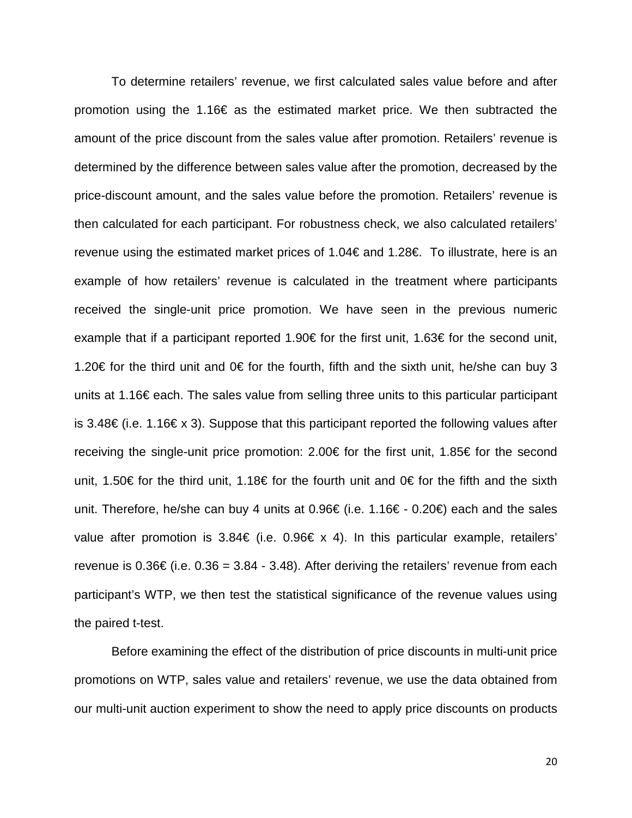To determine retailers' revenue, we first calculated sales value before and after promotion using the 1.16€ as the estimated market price. We then subtracted the amount of the price discount from the sales value after promotion. Retailers' revenue is determined by the difference between sales value after the promotion, decreased by the price-discount amount, and the sales value before the promotion. Retailers' revenue is then calculated for each participant. For robustness check, we also calculated retailers' revenue using the estimated market prices of 1.04€ and 1.28€. To illustrate, here is an example of how retailers' revenue is calculated in the treatment where participants received the single-unit price promotion. We have seen in the previous numeric example that if a participant reported 1.90€ for the first unit, 1.63€ for the second unit, 1.20€ for the third unit and 0€ for the fourth, fifth and the sixth unit, he/she can buy 3 units at 1.16€ each. The sales value from selling three units to this particular participant is 3.48€ (i.e. 1.16€ x 3). Suppose that this participant reported the following values after receiving the single-unit price promotion: 2.00€ for the first unit, 1.85€ for the second unit, 1.50€ for the third unit, 1.18€ for the fourth unit and 0€ for the fifth and the sixth unit. Therefore, he/she can buy 4 units at 0.96€ (i.e. 1.16€ - 0.20€) each and the sales value after promotion is  $3.84€$  (i.e. 0.96  $×$  4). In this particular example, retailers' revenue is  $0.36 \in (i.e. 0.36 = 3.84 - 3.48)$ . After deriving the retailers' revenue from each participant's WTP, we then test the statistical significance of the revenue values using the paired t-test.

Before examining the effect of the distribution of price discounts in multi-unit price promotions on WTP, sales value and retailers' revenue, we use the data obtained from our multi-unit auction experiment to show the need to apply price discounts on products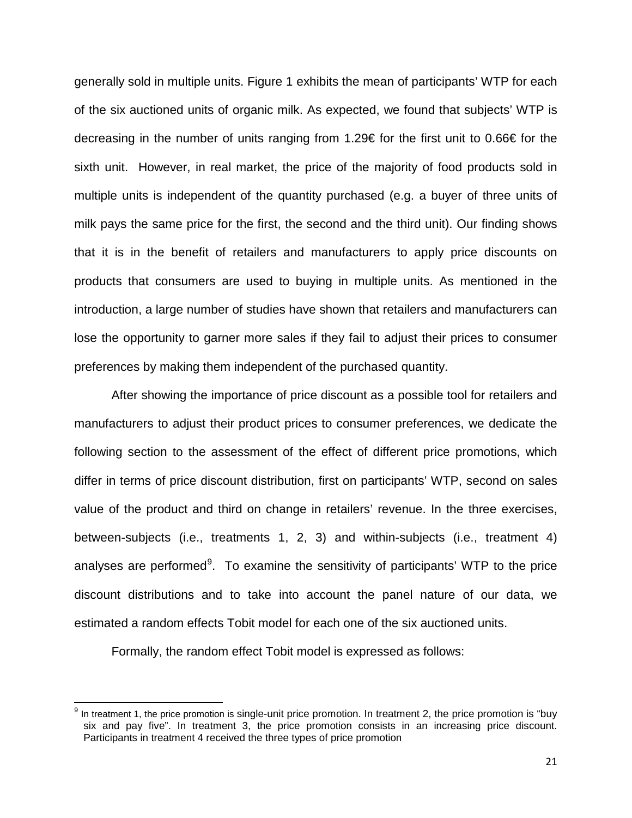generally sold in multiple units. Figure 1 exhibits the mean of participants' WTP for each of the six auctioned units of organic milk. As expected, we found that subjects' WTP is decreasing in the number of units ranging from 1.29€ for the first unit to 0.66€ for the sixth unit. However, in real market, the price of the majority of food products sold in multiple units is independent of the quantity purchased (e.g. a buyer of three units of milk pays the same price for the first, the second and the third unit). Our finding shows that it is in the benefit of retailers and manufacturers to apply price discounts on products that consumers are used to buying in multiple units. As mentioned in the introduction, a large number of studies have shown that retailers and manufacturers can lose the opportunity to garner more sales if they fail to adjust their prices to consumer preferences by making them independent of the purchased quantity.

After showing the importance of price discount as a possible tool for retailers and manufacturers to adjust their product prices to consumer preferences, we dedicate the following section to the assessment of the effect of different price promotions, which differ in terms of price discount distribution, first on participants' WTP, second on sales value of the product and third on change in retailers' revenue. In the three exercises, between-subjects (i.e., treatments 1, 2, 3) and within-subjects (i.e., treatment 4) analyses are performed<sup>[9](#page-20-0)</sup>. To examine the sensitivity of participants' WTP to the price discount distributions and to take into account the panel nature of our data, we estimated a random effects Tobit model for each one of the six auctioned units.

Formally, the random effect Tobit model is expressed as follows:

 $\overline{\phantom{a}}$ 

<span id="page-20-0"></span> $9$  In treatment 1, the price promotion is single-unit price promotion. In treatment 2, the price promotion is "buy six and pay five". In treatment 3, the price promotion consists in an increasing price discount. Participants in treatment 4 received the three types of price promotion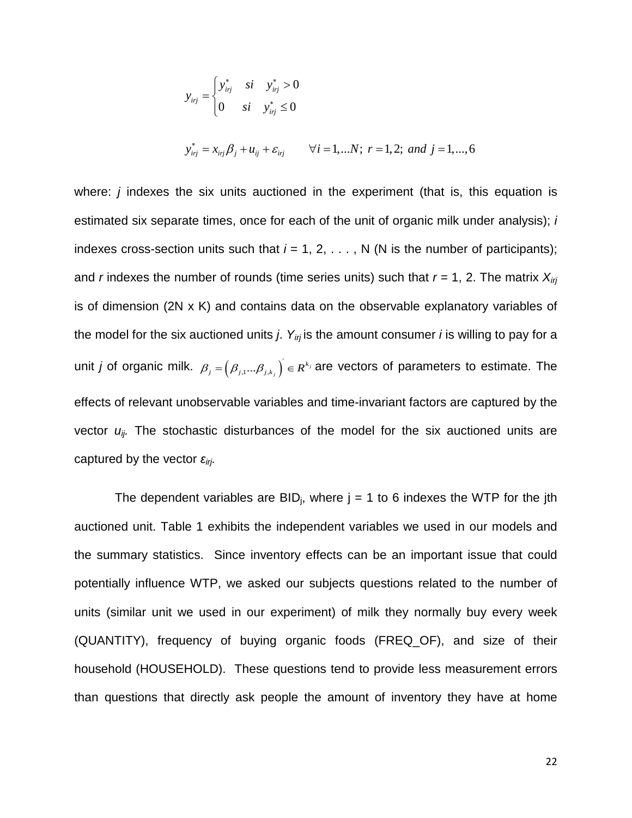$$
y_{ij} = \begin{cases} y_{ij}^* & si & y_{ij}^* > 0 \\ 0 & si & y_{ij}^* \le 0 \end{cases}
$$
  

$$
y_{ij}^* = x_{ij} \beta_j + u_{ij} + \varepsilon_{ij} \qquad \forall i = 1,...N; r = 1, 2; and j = 1,...,6
$$

where: *j* indexes the six units auctioned in the experiment (that is, this equation is estimated six separate times, once for each of the unit of organic milk under analysis); *i*  indexes cross-section units such that  $i = 1, 2, \ldots$ , N (N is the number of participants); and *r* indexes the number of rounds (time series units) such that *r* = 1, 2. The matrix *Xirj* is of dimension (2N x K) and contains data on the observable explanatory variables of the model for the six auctioned units *j*. *Yirj* is the amount consumer *i* is willing to pay for a unit *j* of organic milk.  $\beta_j = (\beta_{j,1}...\beta_{j,k_j})^T \in R^{k_j}$  are vectors of parameters to estimate. The effects of relevant unobservable variables and time-invariant factors are captured by the vector *uij.* The stochastic disturbances of the model for the six auctioned units are captured by the vector *εirj.* 

The dependent variables are BID<sub>i</sub>, where  $j = 1$  to 6 indexes the WTP for the jth auctioned unit. Table 1 exhibits the independent variables we used in our models and the summary statistics. Since inventory effects can be an important issue that could potentially influence WTP, we asked our subjects questions related to the number of units (similar unit we used in our experiment) of milk they normally buy every week (QUANTITY), frequency of buying organic foods (FREQ\_OF), and size of their household (HOUSEHOLD). These questions tend to provide less measurement errors than questions that directly ask people the amount of inventory they have at home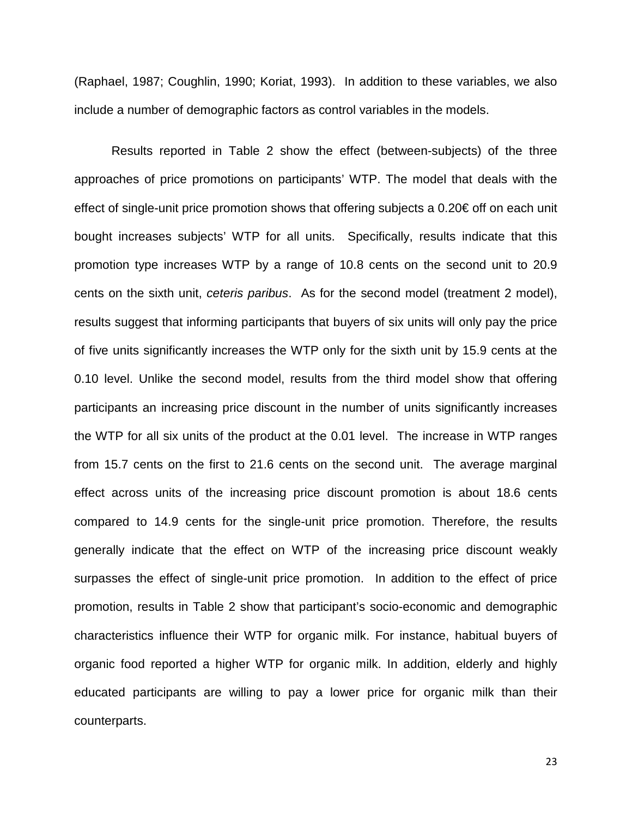(Raphael, 1987; Coughlin, 1990; Koriat, 1993). In addition to these variables, we also include a number of demographic factors as control variables in the models.

Results reported in Table 2 show the effect (between-subjects) of the three approaches of price promotions on participants' WTP. The model that deals with the effect of single-unit price promotion shows that offering subjects a 0.20€ off on each unit bought increases subjects' WTP for all units. Specifically, results indicate that this promotion type increases WTP by a range of 10.8 cents on the second unit to 20.9 cents on the sixth unit, *ceteris paribus*. As for the second model (treatment 2 model), results suggest that informing participants that buyers of six units will only pay the price of five units significantly increases the WTP only for the sixth unit by 15.9 cents at the 0.10 level. Unlike the second model, results from the third model show that offering participants an increasing price discount in the number of units significantly increases the WTP for all six units of the product at the 0.01 level. The increase in WTP ranges from 15.7 cents on the first to 21.6 cents on the second unit. The average marginal effect across units of the increasing price discount promotion is about 18.6 cents compared to 14.9 cents for the single-unit price promotion. Therefore, the results generally indicate that the effect on WTP of the increasing price discount weakly surpasses the effect of single-unit price promotion. In addition to the effect of price promotion, results in Table 2 show that participant's socio-economic and demographic characteristics influence their WTP for organic milk. For instance, habitual buyers of organic food reported a higher WTP for organic milk. In addition, elderly and highly educated participants are willing to pay a lower price for organic milk than their counterparts.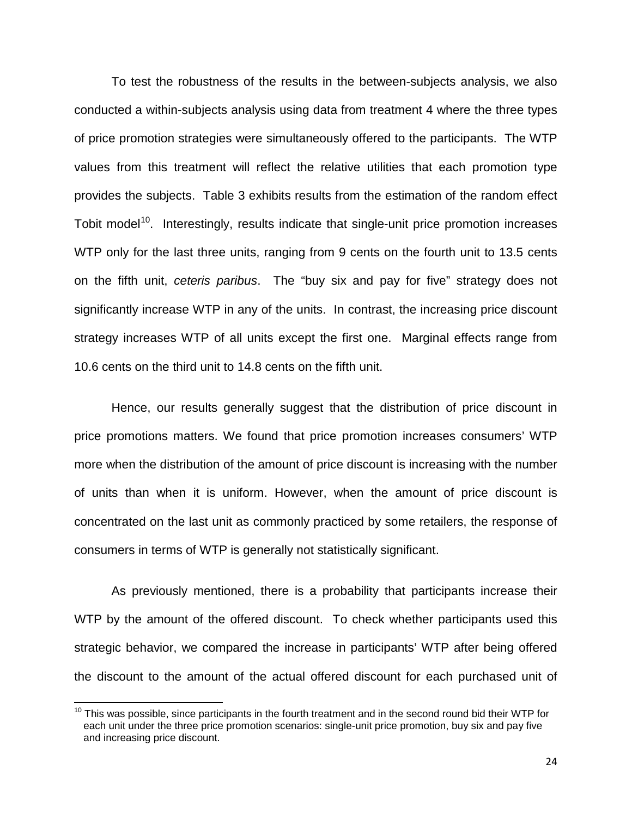To test the robustness of the results in the between-subjects analysis, we also conducted a within-subjects analysis using data from treatment 4 where the three types of price promotion strategies were simultaneously offered to the participants. The WTP values from this treatment will reflect the relative utilities that each promotion type provides the subjects. Table 3 exhibits results from the estimation of the random effect Tobit model<sup>[10](#page-23-0)</sup>. Interestingly, results indicate that single-unit price promotion increases WTP only for the last three units, ranging from 9 cents on the fourth unit to 13.5 cents on the fifth unit, *ceteris paribus*. The "buy six and pay for five" strategy does not significantly increase WTP in any of the units. In contrast, the increasing price discount strategy increases WTP of all units except the first one. Marginal effects range from 10.6 cents on the third unit to 14.8 cents on the fifth unit.

Hence, our results generally suggest that the distribution of price discount in price promotions matters. We found that price promotion increases consumers' WTP more when the distribution of the amount of price discount is increasing with the number of units than when it is uniform. However, when the amount of price discount is concentrated on the last unit as commonly practiced by some retailers, the response of consumers in terms of WTP is generally not statistically significant.

As previously mentioned, there is a probability that participants increase their WTP by the amount of the offered discount. To check whether participants used this strategic behavior, we compared the increase in participants' WTP after being offered the discount to the amount of the actual offered discount for each purchased unit of

 $\overline{\phantom{a}}$ 

<span id="page-23-0"></span> $10$  This was possible, since participants in the fourth treatment and in the second round bid their WTP for each unit under the three price promotion scenarios: single-unit price promotion, buy six and pay five and increasing price discount.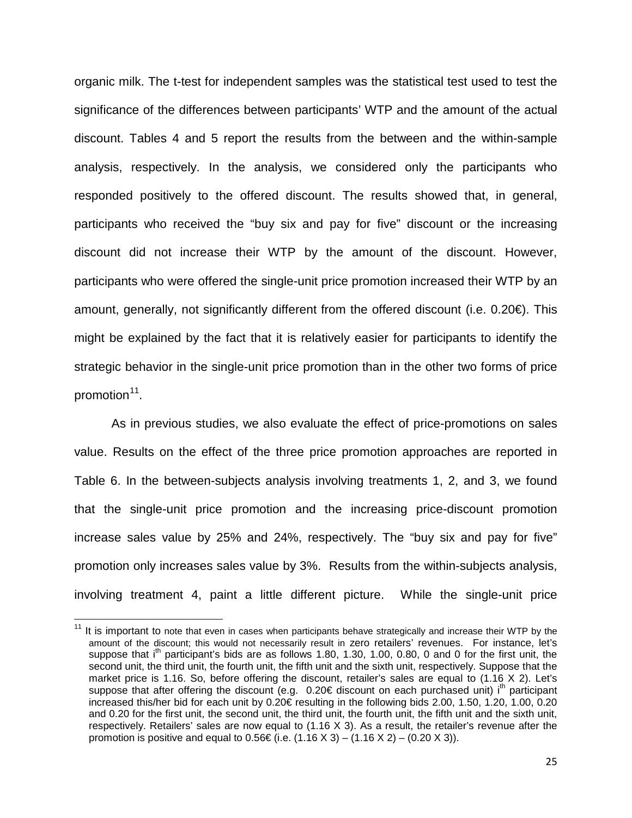organic milk. The t-test for independent samples was the statistical test used to test the significance of the differences between participants' WTP and the amount of the actual discount. Tables 4 and 5 report the results from the between and the within-sample analysis, respectively. In the analysis, we considered only the participants who responded positively to the offered discount. The results showed that, in general, participants who received the "buy six and pay for five" discount or the increasing discount did not increase their WTP by the amount of the discount. However, participants who were offered the single-unit price promotion increased their WTP by an amount, generally, not significantly different from the offered discount (i.e. 0.20€). This might be explained by the fact that it is relatively easier for participants to identify the strategic behavior in the single-unit price promotion than in the other two forms of price promotion<sup>11</sup>.

As in previous studies, we also evaluate the effect of price-promotions on sales value. Results on the effect of the three price promotion approaches are reported in Table 6. In the between-subjects analysis involving treatments 1, 2, and 3, we found that the single-unit price promotion and the increasing price-discount promotion increase sales value by 25% and 24%, respectively. The "buy six and pay for five" promotion only increases sales value by 3%. Results from the within-subjects analysis, involving treatment 4, paint a little different picture. While the single-unit price

l

<span id="page-24-0"></span> $11$  It is important to note that even in cases when participants behave strategically and increase their WTP by the amount of the discount; this would not necessarily result in zero retailers' revenues. For instance, let's suppose that  $i<sup>th</sup>$  participant's bids are as follows 1.80, 1.30, 1.00, 0.80, 0 and 0 for the first unit, the second unit, the third unit, the fourth unit, the fifth unit and the sixth unit, respectively. Suppose that the market price is 1.16. So, before offering the discount, retailer's sales are equal to (1.16 X 2). Let's suppose that after offering the discount (e.g. 0.20€ discount on each purchased unit) i<sup>th</sup> participant increased this/her bid for each unit by 0.20€ resulting in the following bids 2.00, 1.50, 1.20, 1.00, 0.20 and 0.20 for the first unit, the second unit, the third unit, the fourth unit, the fifth unit and the sixth unit, respectively. Retailers' sales are now equal to  $(1.16 \times 3)$ . As a result, the retailer's revenue after the promotion is positive and equal to 0.56€ (i.e.  $(1.16 \text{ X } 3) - (1.16 \text{ X } 2) - (0.20 \text{ X } 3)$ ).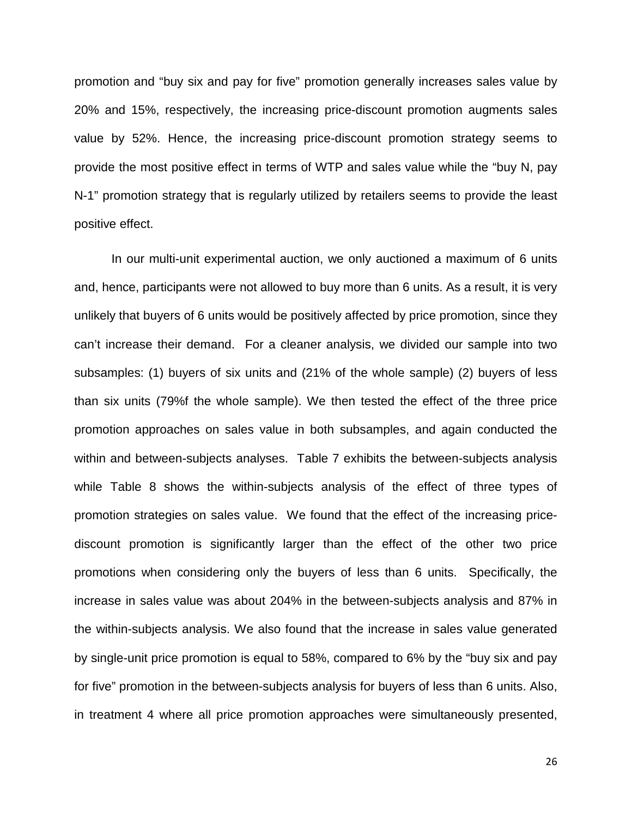promotion and "buy six and pay for five" promotion generally increases sales value by 20% and 15%, respectively, the increasing price-discount promotion augments sales value by 52%. Hence, the increasing price-discount promotion strategy seems to provide the most positive effect in terms of WTP and sales value while the "buy N, pay N-1" promotion strategy that is regularly utilized by retailers seems to provide the least positive effect.

In our multi-unit experimental auction, we only auctioned a maximum of 6 units and, hence, participants were not allowed to buy more than 6 units. As a result, it is very unlikely that buyers of 6 units would be positively affected by price promotion, since they can't increase their demand. For a cleaner analysis, we divided our sample into two subsamples: (1) buyers of six units and (21% of the whole sample) (2) buyers of less than six units (79%f the whole sample). We then tested the effect of the three price promotion approaches on sales value in both subsamples, and again conducted the within and between-subjects analyses. Table 7 exhibits the between-subjects analysis while Table 8 shows the within-subjects analysis of the effect of three types of promotion strategies on sales value. We found that the effect of the increasing pricediscount promotion is significantly larger than the effect of the other two price promotions when considering only the buyers of less than 6 units. Specifically, the increase in sales value was about 204% in the between-subjects analysis and 87% in the within-subjects analysis. We also found that the increase in sales value generated by single-unit price promotion is equal to 58%, compared to 6% by the "buy six and pay for five" promotion in the between-subjects analysis for buyers of less than 6 units. Also, in treatment 4 where all price promotion approaches were simultaneously presented,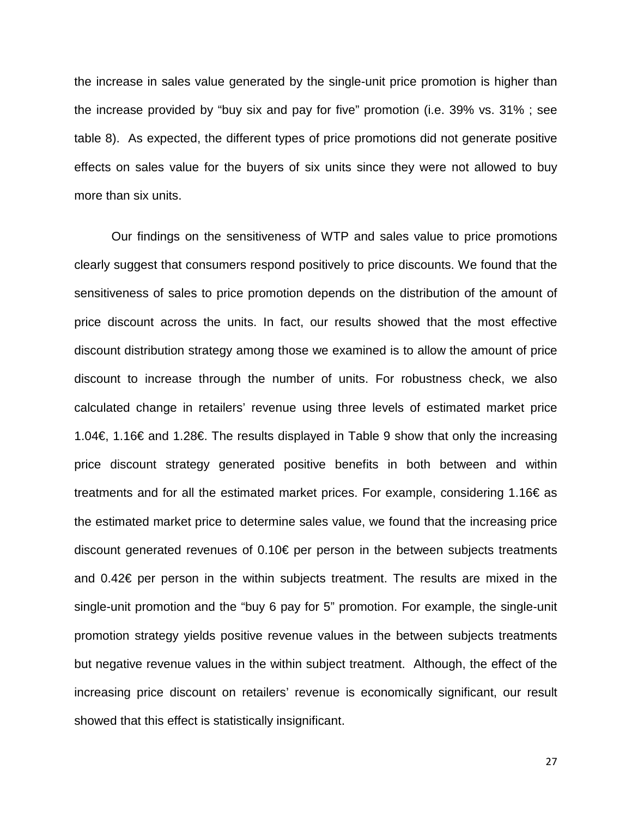the increase in sales value generated by the single-unit price promotion is higher than the increase provided by "buy six and pay for five" promotion (i.e. 39% vs. 31% ; see table 8). As expected, the different types of price promotions did not generate positive effects on sales value for the buyers of six units since they were not allowed to buy more than six units.

Our findings on the sensitiveness of WTP and sales value to price promotions clearly suggest that consumers respond positively to price discounts. We found that the sensitiveness of sales to price promotion depends on the distribution of the amount of price discount across the units. In fact, our results showed that the most effective discount distribution strategy among those we examined is to allow the amount of price discount to increase through the number of units. For robustness check, we also calculated change in retailers' revenue using three levels of estimated market price 1.04€, 1.16€ and 1.28€. The results displayed in Table 9 show that only the increasing price discount strategy generated positive benefits in both between and within treatments and for all the estimated market prices. For example, considering 1.16€ as the estimated market price to determine sales value, we found that the increasing price discount generated revenues of 0.10€ per person in the between subjects treatments and 0.42€ per person in the within subjects treatment. The results are mixed in the single-unit promotion and the "buy 6 pay for 5" promotion. For example, the single-unit promotion strategy yields positive revenue values in the between subjects treatments but negative revenue values in the within subject treatment. Although, the effect of the increasing price discount on retailers' revenue is economically significant, our result showed that this effect is statistically insignificant.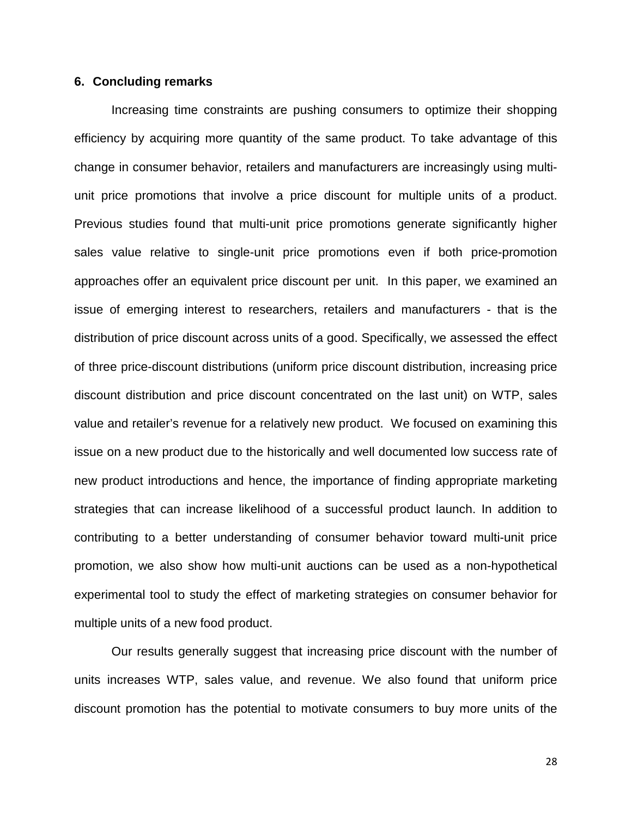### **6. Concluding remarks**

Increasing time constraints are pushing consumers to optimize their shopping efficiency by acquiring more quantity of the same product. To take advantage of this change in consumer behavior, retailers and manufacturers are increasingly using multiunit price promotions that involve a price discount for multiple units of a product. Previous studies found that multi-unit price promotions generate significantly higher sales value relative to single-unit price promotions even if both price-promotion approaches offer an equivalent price discount per unit. In this paper, we examined an issue of emerging interest to researchers, retailers and manufacturers - that is the distribution of price discount across units of a good. Specifically, we assessed the effect of three price-discount distributions (uniform price discount distribution, increasing price discount distribution and price discount concentrated on the last unit) on WTP, sales value and retailer's revenue for a relatively new product. We focused on examining this issue on a new product due to the historically and well documented low success rate of new product introductions and hence, the importance of finding appropriate marketing strategies that can increase likelihood of a successful product launch. In addition to contributing to a better understanding of consumer behavior toward multi-unit price promotion, we also show how multi-unit auctions can be used as a non-hypothetical experimental tool to study the effect of marketing strategies on consumer behavior for multiple units of a new food product.

Our results generally suggest that increasing price discount with the number of units increases WTP, sales value, and revenue. We also found that uniform price discount promotion has the potential to motivate consumers to buy more units of the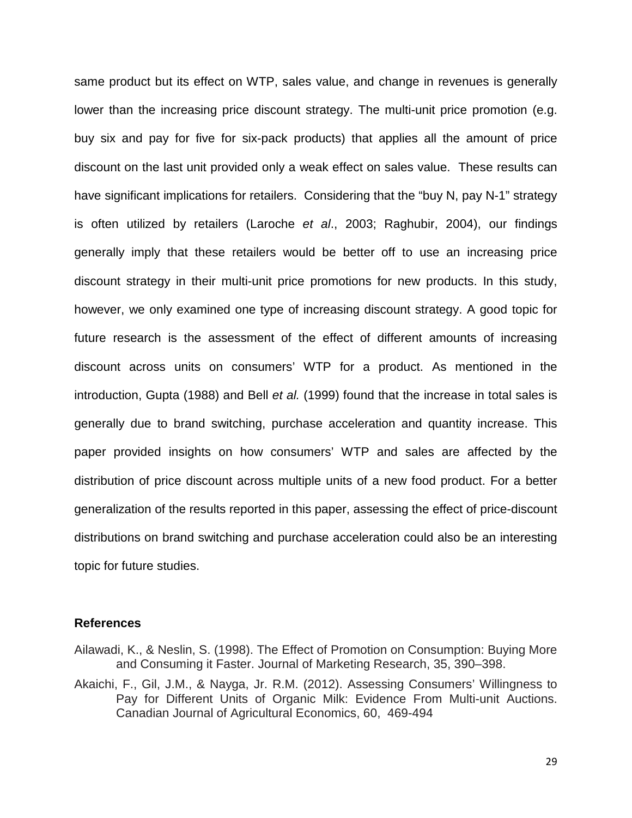same product but its effect on WTP, sales value, and change in revenues is generally lower than the increasing price discount strategy. The multi-unit price promotion (e.g. buy six and pay for five for six-pack products) that applies all the amount of price discount on the last unit provided only a weak effect on sales value. These results can have significant implications for retailers. Considering that the "buy N, pay N-1" strategy is often utilized by retailers (Laroche *et al*., 2003; Raghubir, 2004), our findings generally imply that these retailers would be better off to use an increasing price discount strategy in their multi-unit price promotions for new products. In this study, however, we only examined one type of increasing discount strategy. A good topic for future research is the assessment of the effect of different amounts of increasing discount across units on consumers' WTP for a product. As mentioned in the introduction, Gupta (1988) and Bell *et al.* (1999) found that the increase in total sales is generally due to brand switching, purchase acceleration and quantity increase. This paper provided insights on how consumers' WTP and sales are affected by the distribution of price discount across multiple units of a new food product. For a better generalization of the results reported in this paper, assessing the effect of price-discount distributions on brand switching and purchase acceleration could also be an interesting topic for future studies.

#### **References**

- Ailawadi, K., & Neslin, S. (1998). The Effect of Promotion on Consumption: Buying More and Consuming it Faster. Journal of Marketing Research, 35, 390–398.
- Akaichi, F., Gil, J.M., & Nayga, Jr. R.M. (2012). Assessing Consumers' Willingness to Pay for Different Units of Organic Milk: Evidence From Multi-unit Auctions. Canadian Journal of Agricultural Economics, 60, 469-494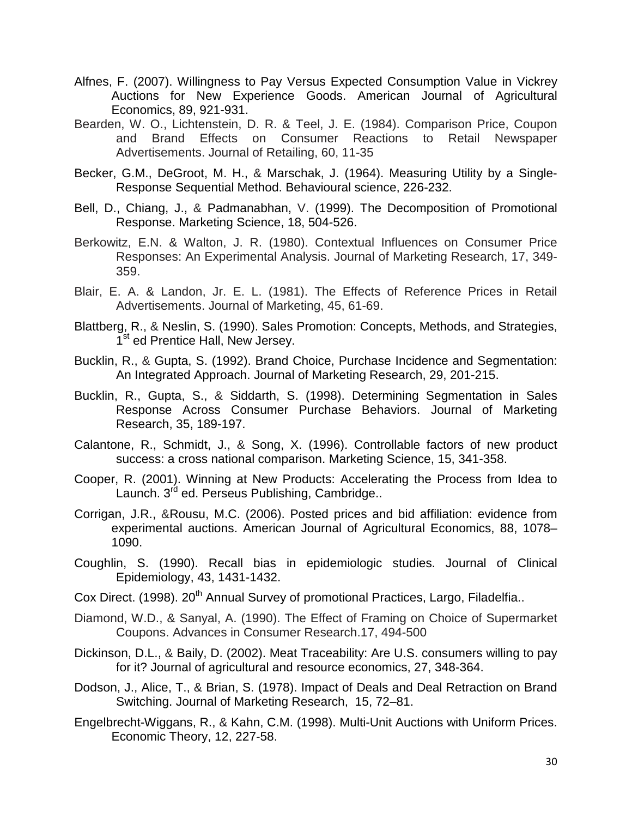- Alfnes, F. (2007). Willingness to Pay Versus Expected Consumption Value in Vickrey Auctions for New Experience Goods. American Journal of Agricultural Economics, 89, 921-931.
- Bearden, W. O., Lichtenstein, D. R. & Teel, J. E. (1984). Comparison Price, Coupon and Brand Effects on Consumer Reactions to Retail Newspaper Advertisements. Journal of Retailing, 60, 11-35
- Becker, G.M., DeGroot, M. H., & Marschak, J. (1964). Measuring Utility by a Single-Response Sequential Method. Behavioural science, 226-232.
- Bell, D., Chiang, J., & Padmanabhan, V. (1999). The Decomposition of Promotional Response. Marketing Science, 18, 504-526.
- Berkowitz, E.N. & Walton, J. R. (1980). Contextual Influences on Consumer Price Responses: An Experimental Analysis. Journal of Marketing Research, 17, 349- 359.
- Blair, E. A. & Landon, Jr. E. L. (1981). The Effects of Reference Prices in Retail Advertisements. Journal of Marketing, 45, 61-69.
- Blattberg, R., & Neslin, S. (1990). Sales Promotion: Concepts, Methods, and Strategies, 1<sup>st</sup> ed Prentice Hall, New Jersey.
- Bucklin, R., & Gupta, S. (1992). Brand Choice, Purchase Incidence and Segmentation: An Integrated Approach. Journal of Marketing Research, 29, 201-215.
- Bucklin, R., Gupta, S., & Siddarth, S. (1998). Determining Segmentation in Sales Response Across Consumer Purchase Behaviors. Journal of Marketing Research, 35, 189-197.
- Calantone, R., Schmidt, J., & Song, X. (1996). Controllable factors of new product success: a cross national comparison. Marketing Science, 15, 341-358.
- Cooper, R. (2001). Winning at New Products: Accelerating the Process from Idea to Launch. 3<sup>rd</sup> ed. Perseus Publishing, Cambridge..
- Corrigan, J.R., &Rousu, M.C. (2006). Posted prices and bid affiliation: evidence from experimental auctions. American Journal of Agricultural Economics, 88, 1078– 1090.
- Coughlin, S. (1990). Recall bias in epidemiologic studies. Journal of Clinical Epidemiology, 43, 1431-1432.
- Cox Direct. (1998). 20<sup>th</sup> Annual Survey of promotional Practices, Largo, Filadelfia..
- Diamond, W.D., & Sanyal, A. (1990). The Effect of Framing on Choice of Supermarket Coupons. Advances in Consumer Research.17, 494-500
- Dickinson, D.L., & Baily, D. (2002). Meat Traceability: Are U.S. consumers willing to pay for it? Journal of agricultural and resource economics, 27, 348-364.
- Dodson, J., Alice, T., & Brian, S. (1978). Impact of Deals and Deal Retraction on Brand Switching. Journal of Marketing Research, 15, 72–81.
- Engelbrecht-Wiggans, R., & Kahn, C.M. (1998). Multi-Unit Auctions with Uniform Prices. Economic Theory, 12, 227-58.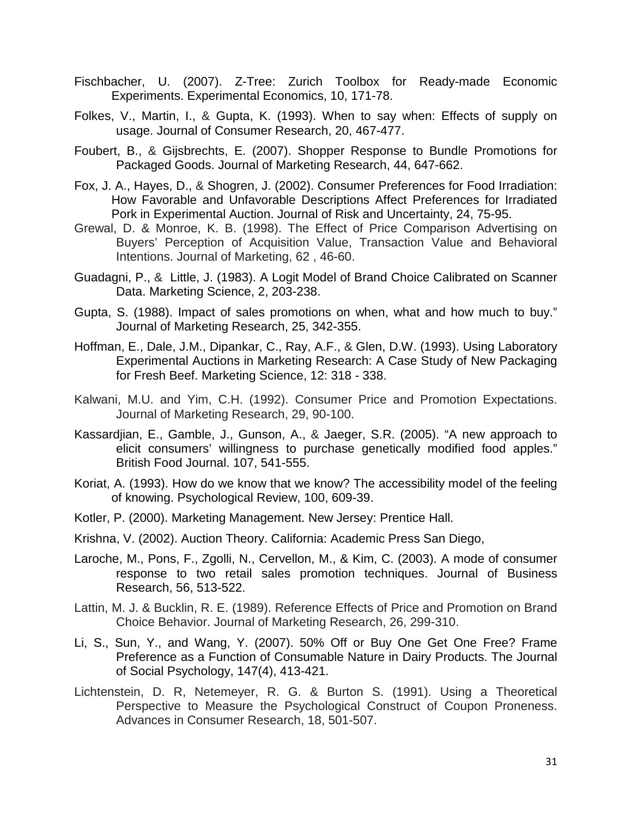- Fischbacher, U. (2007). Z-Tree: Zurich Toolbox for Ready-made Economic Experiments. Experimental Economics, 10, 171-78.
- Folkes, V., Martin, I., & Gupta, K. (1993). When to say when: Effects of supply on usage. Journal of Consumer Research, 20, 467-477.
- Foubert, B., & Gijsbrechts, E. (2007). Shopper Response to Bundle Promotions for Packaged Goods. Journal of Marketing Research, 44, 647-662.
- Fox, J. A., Hayes, D., & Shogren, J. (2002). Consumer Preferences for Food Irradiation: How Favorable and Unfavorable Descriptions Affect Preferences for Irradiated Pork in Experimental Auction. Journal of Risk and Uncertainty, 24, 75-95.
- Grewal, D. & Monroe, K. B. (1998). The Effect of Price Comparison Advertising on Buyers' Perception of Acquisition Value, Transaction Value and Behavioral Intentions. Journal of Marketing, 62 , 46-60.
- Guadagni, P., & Little, J. (1983). A Logit Model of Brand Choice Calibrated on Scanner Data. Marketing Science, 2, 203-238.
- Gupta, S. (1988). Impact of sales promotions on when, what and how much to buy." Journal of Marketing Research, 25, 342-355.
- Hoffman, E., Dale, J.M., Dipankar, C., Ray, A.F., & Glen, D.W. (1993). Using Laboratory Experimental Auctions in Marketing Research: A Case Study of New Packaging for Fresh Beef. Marketing Science, 12: 318 - 338.
- Kalwani, M.U. and Yim, C.H. (1992). Consumer Price and Promotion Expectations. Journal of Marketing Research, 29, 90-100.
- Kassardjian, E., Gamble, J., Gunson, A., & Jaeger, S.R. (2005). "A new approach to elicit consumers' willingness to purchase genetically modified food apples." British Food Journal. 107, 541-555.
- Koriat, A. (1993). How do we know that we know? The accessibility model of the feeling of knowing. Psychological Review, 100, 609-39.
- Kotler, P. (2000). Marketing Management. New Jersey: Prentice Hall.
- Krishna, V. (2002). Auction Theory. California: Academic Press San Diego,
- Laroche, M., Pons, F., Zgolli, N., Cervellon, M., & Kim, C. (2003). A mode of consumer response to two retail sales promotion techniques. Journal of Business Research, 56, 513-522.
- Lattin, M. J. & Bucklin, R. E. (1989). Reference Effects of Price and Promotion on Brand Choice Behavior. Journal of Marketing Research, 26, 299-310.
- Li, S., Sun, Y., and Wang, Y. (2007). 50% Off or Buy One Get One Free? Frame Preference as a Function of Consumable Nature in Dairy Products. The Journal of Social Psychology, 147(4), 413-421.
- Lichtenstein, D. R, Netemeyer, R. G. & Burton S. (1991). Using a Theoretical Perspective to Measure the Psychological Construct of Coupon Proneness. Advances in Consumer Research, 18, 501-507.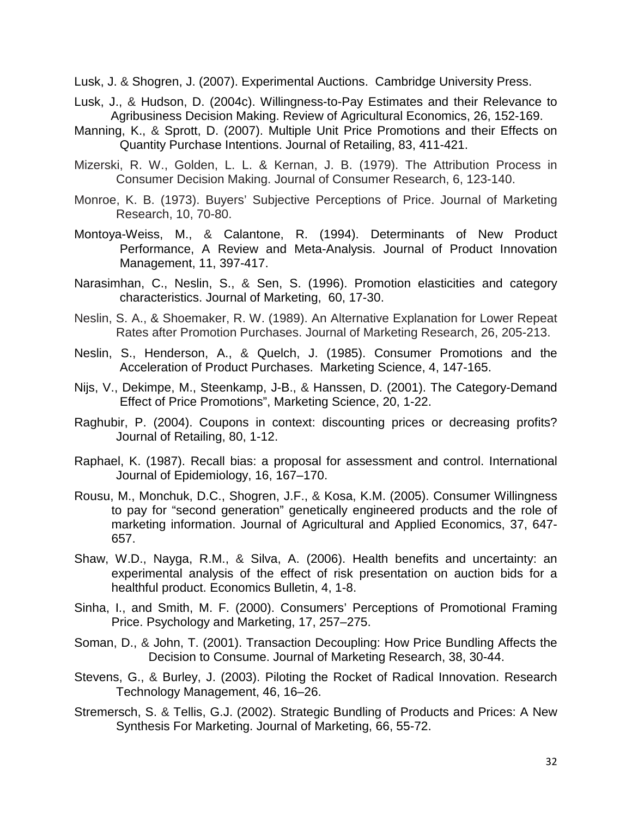Lusk, J. & Shogren, J. (2007). [Experimental Auctions.](http://ideas.repec.org/b/cup/cbooks/9780521671248.html) Cambridge University Press.

- Lusk, J., & Hudson, D. (2004c). Willingness-to-Pay Estimates and their Relevance to Agribusiness Decision Making. Review of Agricultural Economics, 26, 152-169.
- Manning, K., & Sprott, D. (2007). Multiple Unit Price Promotions and their Effects on Quantity Purchase Intentions. Journal of Retailing, 83, 411-421.
- Mizerski, R. W., Golden, L. L. & Kernan, J. B. (1979). The Attribution Process in Consumer Decision Making. Journal of Consumer Research, 6, 123-140.
- Monroe, K. B. (1973). Buyers' Subjective Perceptions of Price. Journal of Marketing Research, 10, 70-80.
- Montoya-Weiss, M., & Calantone, R. (1994). Determinants of New Product Performance, A Review and Meta-Analysis. Journal of Product Innovation Management, 11, 397-417.
- Narasimhan, C., Neslin, S., & Sen, S. (1996). Promotion elasticities and category characteristics. Journal of Marketing, 60, 17-30.
- Neslin, S. A., & Shoemaker, R. W. (1989). An Alternative Explanation for Lower Repeat Rates after Promotion Purchases. Journal of Marketing Research, 26, 205-213.
- Neslin, S., Henderson, A., & Quelch, J. (1985). Consumer Promotions and the Acceleration of Product Purchases. Marketing Science, 4, 147-165.
- Nijs, V., Dekimpe, M., Steenkamp, J-B., & Hanssen, D. (2001). The Category-Demand Effect of Price Promotions", Marketing Science, 20, 1-22.
- Raghubir, P. (2004). Coupons in context: discounting prices or decreasing profits? Journal of Retailing, 80, 1-12.
- Raphael, K. (1987). Recall bias: a proposal for assessment and control. International Journal of Epidemiology, 16, 167–170.
- Rousu, M., Monchuk, D.C., Shogren, J.F., & Kosa, K.M. (2005). Consumer Willingness to pay for "second generation" genetically engineered products and the role of marketing information. Journal of Agricultural and Applied Economics, 37, 647- 657.
- Shaw, W.D., Nayga, R.M., & Silva, A. (2006). Health benefits and uncertainty: an experimental analysis of the effect of risk presentation on auction bids for a healthful product. Economics Bulletin, 4, 1-8.
- Sinha, I., and Smith, M. F. (2000). Consumers' Perceptions of Promotional Framing Price. Psychology and Marketing, 17, 257–275.
- Soman, D., & John, T. (2001). Transaction Decoupling: How Price Bundling Affects the Decision to Consume. Journal of Marketing Research, 38, 30-44.
- Stevens, G., & Burley, J. (2003). Piloting the Rocket of Radical Innovation. Research Technology Management, 46, 16–26.
- Stremersch, S. & Tellis, G.J. (2002). Strategic Bundling of Products and Prices: A New Synthesis For Marketing. Journal of Marketing, 66, 55-72.